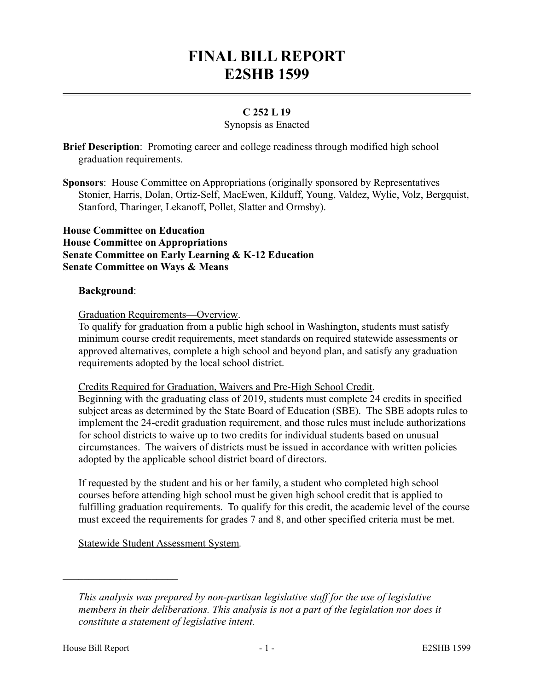# **FINAL BILL REPORT E2SHB 1599**

# **C 252 L 19**

#### Synopsis as Enacted

**Brief Description**: Promoting career and college readiness through modified high school graduation requirements.

**Sponsors**: House Committee on Appropriations (originally sponsored by Representatives Stonier, Harris, Dolan, Ortiz-Self, MacEwen, Kilduff, Young, Valdez, Wylie, Volz, Bergquist, Stanford, Tharinger, Lekanoff, Pollet, Slatter and Ormsby).

#### **House Committee on Education House Committee on Appropriations Senate Committee on Early Learning & K-12 Education Senate Committee on Ways & Means**

#### **Background**:

Graduation Requirements—Overview.

To qualify for graduation from a public high school in Washington, students must satisfy minimum course credit requirements, meet standards on required statewide assessments or approved alternatives, complete a high school and beyond plan, and satisfy any graduation requirements adopted by the local school district.

#### Credits Required for Graduation, Waivers and Pre-High School Credit.

Beginning with the graduating class of 2019, students must complete 24 credits in specified subject areas as determined by the State Board of Education (SBE). The SBE adopts rules to implement the 24-credit graduation requirement, and those rules must include authorizations for school districts to waive up to two credits for individual students based on unusual circumstances. The waivers of districts must be issued in accordance with written policies adopted by the applicable school district board of directors.

If requested by the student and his or her family, a student who completed high school courses before attending high school must be given high school credit that is applied to fulfilling graduation requirements. To qualify for this credit, the academic level of the course must exceed the requirements for grades 7 and 8, and other specified criteria must be met.

Statewide Student Assessment System*.* 

––––––––––––––––––––––

*This analysis was prepared by non-partisan legislative staff for the use of legislative members in their deliberations. This analysis is not a part of the legislation nor does it constitute a statement of legislative intent.*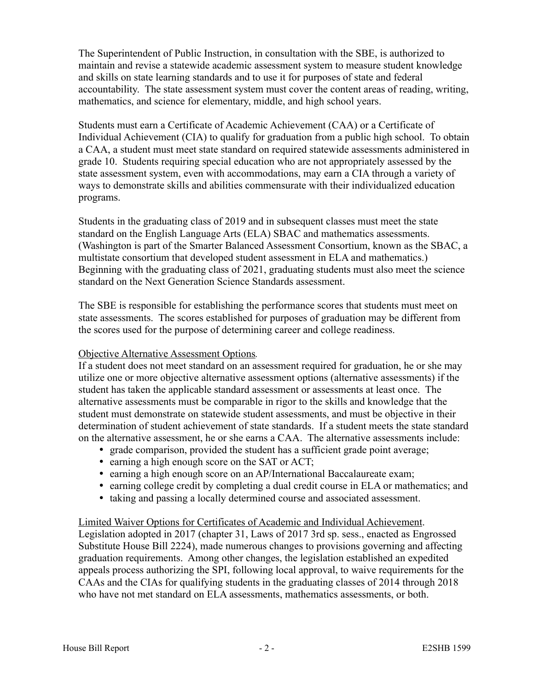The Superintendent of Public Instruction, in consultation with the SBE, is authorized to maintain and revise a statewide academic assessment system to measure student knowledge and skills on state learning standards and to use it for purposes of state and federal accountability. The state assessment system must cover the content areas of reading, writing, mathematics, and science for elementary, middle, and high school years.

Students must earn a Certificate of Academic Achievement (CAA) or a Certificate of Individual Achievement (CIA) to qualify for graduation from a public high school. To obtain a CAA, a student must meet state standard on required statewide assessments administered in grade 10. Students requiring special education who are not appropriately assessed by the state assessment system, even with accommodations, may earn a CIA through a variety of ways to demonstrate skills and abilities commensurate with their individualized education programs.

Students in the graduating class of 2019 and in subsequent classes must meet the state standard on the English Language Arts (ELA) SBAC and mathematics assessments. (Washington is part of the Smarter Balanced Assessment Consortium, known as the SBAC, a multistate consortium that developed student assessment in ELA and mathematics.) Beginning with the graduating class of 2021, graduating students must also meet the science standard on the Next Generation Science Standards assessment.

The SBE is responsible for establishing the performance scores that students must meet on state assessments. The scores established for purposes of graduation may be different from the scores used for the purpose of determining career and college readiness.

## Objective Alternative Assessment Options*.*

If a student does not meet standard on an assessment required for graduation, he or she may utilize one or more objective alternative assessment options (alternative assessments) if the student has taken the applicable standard assessment or assessments at least once. The alternative assessments must be comparable in rigor to the skills and knowledge that the student must demonstrate on statewide student assessments, and must be objective in their determination of student achievement of state standards. If a student meets the state standard on the alternative assessment, he or she earns a CAA. The alternative assessments include:

- grade comparison, provided the student has a sufficient grade point average;
- earning a high enough score on the SAT or ACT;
- earning a high enough score on an AP/International Baccalaureate exam;
- earning college credit by completing a dual credit course in ELA or mathematics; and
- taking and passing a locally determined course and associated assessment.

#### Limited Waiver Options for Certificates of Academic and Individual Achievement. Legislation adopted in 2017 (chapter 31, Laws of 2017 3rd sp. sess., enacted as Engrossed Substitute House Bill 2224), made numerous changes to provisions governing and affecting graduation requirements. Among other changes, the legislation established an expedited appeals process authorizing the SPI, following local approval, to waive requirements for the CAAs and the CIAs for qualifying students in the graduating classes of 2014 through 2018 who have not met standard on ELA assessments, mathematics assessments, or both.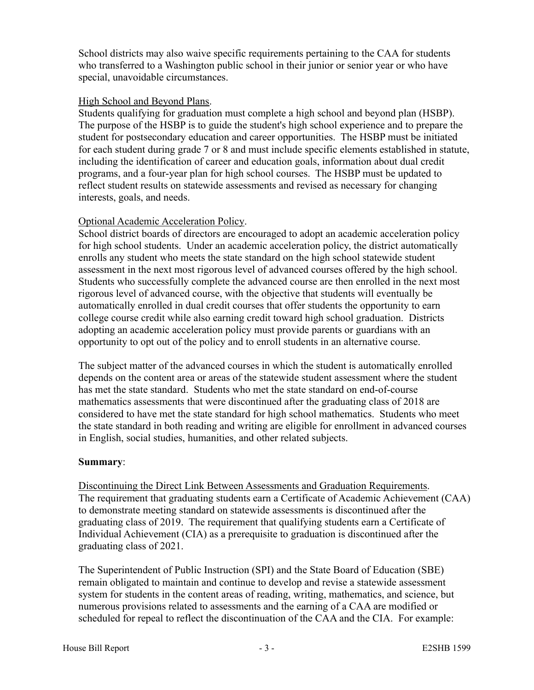School districts may also waive specific requirements pertaining to the CAA for students who transferred to a Washington public school in their junior or senior year or who have special, unavoidable circumstances.

#### High School and Beyond Plans.

Students qualifying for graduation must complete a high school and beyond plan (HSBP). The purpose of the HSBP is to guide the student's high school experience and to prepare the student for postsecondary education and career opportunities. The HSBP must be initiated for each student during grade 7 or 8 and must include specific elements established in statute, including the identification of career and education goals, information about dual credit programs, and a four-year plan for high school courses. The HSBP must be updated to reflect student results on statewide assessments and revised as necessary for changing interests, goals, and needs.

## Optional Academic Acceleration Policy.

School district boards of directors are encouraged to adopt an academic acceleration policy for high school students. Under an academic acceleration policy, the district automatically enrolls any student who meets the state standard on the high school statewide student assessment in the next most rigorous level of advanced courses offered by the high school. Students who successfully complete the advanced course are then enrolled in the next most rigorous level of advanced course, with the objective that students will eventually be automatically enrolled in dual credit courses that offer students the opportunity to earn college course credit while also earning credit toward high school graduation. Districts adopting an academic acceleration policy must provide parents or guardians with an opportunity to opt out of the policy and to enroll students in an alternative course.

The subject matter of the advanced courses in which the student is automatically enrolled depends on the content area or areas of the statewide student assessment where the student has met the state standard. Students who met the state standard on end-of-course mathematics assessments that were discontinued after the graduating class of 2018 are considered to have met the state standard for high school mathematics. Students who meet the state standard in both reading and writing are eligible for enrollment in advanced courses in English, social studies, humanities, and other related subjects.

## **Summary**:

Discontinuing the Direct Link Between Assessments and Graduation Requirements. The requirement that graduating students earn a Certificate of Academic Achievement (CAA) to demonstrate meeting standard on statewide assessments is discontinued after the graduating class of 2019. The requirement that qualifying students earn a Certificate of Individual Achievement (CIA) as a prerequisite to graduation is discontinued after the graduating class of 2021.

The Superintendent of Public Instruction (SPI) and the State Board of Education (SBE) remain obligated to maintain and continue to develop and revise a statewide assessment system for students in the content areas of reading, writing, mathematics, and science, but numerous provisions related to assessments and the earning of a CAA are modified or scheduled for repeal to reflect the discontinuation of the CAA and the CIA. For example: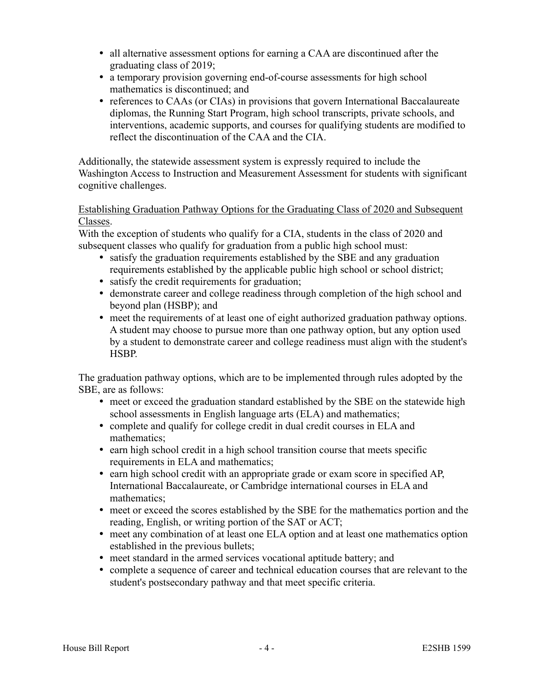- all alternative assessment options for earning a CAA are discontinued after the graduating class of 2019;
- a temporary provision governing end-of-course assessments for high school mathematics is discontinued; and
- references to CAAs (or CIAs) in provisions that govern International Baccalaureate diplomas, the Running Start Program, high school transcripts, private schools, and interventions, academic supports, and courses for qualifying students are modified to reflect the discontinuation of the CAA and the CIA.

Additionally, the statewide assessment system is expressly required to include the Washington Access to Instruction and Measurement Assessment for students with significant cognitive challenges.

#### Establishing Graduation Pathway Options for the Graduating Class of 2020 and Subsequent Classes.

With the exception of students who qualify for a CIA, students in the class of 2020 and subsequent classes who qualify for graduation from a public high school must:

- satisfy the graduation requirements established by the SBE and any graduation requirements established by the applicable public high school or school district;
- satisfy the credit requirements for graduation;
- demonstrate career and college readiness through completion of the high school and beyond plan (HSBP); and
- meet the requirements of at least one of eight authorized graduation pathway options. A student may choose to pursue more than one pathway option, but any option used by a student to demonstrate career and college readiness must align with the student's HSBP.

The graduation pathway options, which are to be implemented through rules adopted by the SBE, are as follows:

- meet or exceed the graduation standard established by the SBE on the statewide high school assessments in English language arts (ELA) and mathematics;
- complete and qualify for college credit in dual credit courses in ELA and mathematics;
- earn high school credit in a high school transition course that meets specific requirements in ELA and mathematics;
- earn high school credit with an appropriate grade or exam score in specified AP, International Baccalaureate, or Cambridge international courses in ELA and mathematics;
- meet or exceed the scores established by the SBE for the mathematics portion and the reading, English, or writing portion of the SAT or ACT;
- meet any combination of at least one ELA option and at least one mathematics option established in the previous bullets;
- meet standard in the armed services vocational aptitude battery; and
- complete a sequence of career and technical education courses that are relevant to the student's postsecondary pathway and that meet specific criteria.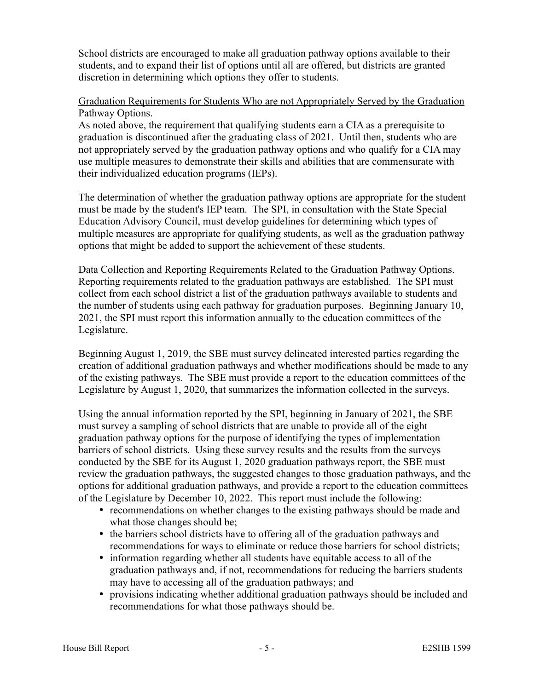School districts are encouraged to make all graduation pathway options available to their students, and to expand their list of options until all are offered, but districts are granted discretion in determining which options they offer to students.

#### Graduation Requirements for Students Who are not Appropriately Served by the Graduation Pathway Options.

As noted above, the requirement that qualifying students earn a CIA as a prerequisite to graduation is discontinued after the graduating class of 2021. Until then, students who are not appropriately served by the graduation pathway options and who qualify for a CIA may use multiple measures to demonstrate their skills and abilities that are commensurate with their individualized education programs (IEPs).

The determination of whether the graduation pathway options are appropriate for the student must be made by the student's IEP team. The SPI, in consultation with the State Special Education Advisory Council, must develop guidelines for determining which types of multiple measures are appropriate for qualifying students, as well as the graduation pathway options that might be added to support the achievement of these students.

Data Collection and Reporting Requirements Related to the Graduation Pathway Options. Reporting requirements related to the graduation pathways are established. The SPI must collect from each school district a list of the graduation pathways available to students and the number of students using each pathway for graduation purposes. Beginning January 10, 2021, the SPI must report this information annually to the education committees of the Legislature.

Beginning August 1, 2019, the SBE must survey delineated interested parties regarding the creation of additional graduation pathways and whether modifications should be made to any of the existing pathways. The SBE must provide a report to the education committees of the Legislature by August 1, 2020, that summarizes the information collected in the surveys.

Using the annual information reported by the SPI, beginning in January of 2021, the SBE must survey a sampling of school districts that are unable to provide all of the eight graduation pathway options for the purpose of identifying the types of implementation barriers of school districts. Using these survey results and the results from the surveys conducted by the SBE for its August 1, 2020 graduation pathways report, the SBE must review the graduation pathways, the suggested changes to those graduation pathways, and the options for additional graduation pathways, and provide a report to the education committees of the Legislature by December 10, 2022. This report must include the following:

- recommendations on whether changes to the existing pathways should be made and what those changes should be;
- the barriers school districts have to offering all of the graduation pathways and recommendations for ways to eliminate or reduce those barriers for school districts;
- information regarding whether all students have equitable access to all of the graduation pathways and, if not, recommendations for reducing the barriers students may have to accessing all of the graduation pathways; and
- provisions indicating whether additional graduation pathways should be included and recommendations for what those pathways should be.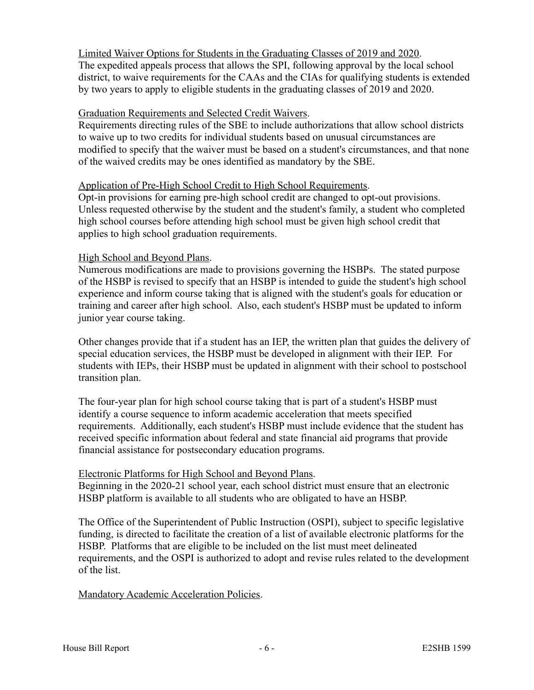Limited Waiver Options for Students in the Graduating Classes of 2019 and 2020. The expedited appeals process that allows the SPI, following approval by the local school district, to waive requirements for the CAAs and the CIAs for qualifying students is extended by two years to apply to eligible students in the graduating classes of 2019 and 2020.

#### Graduation Requirements and Selected Credit Waivers.

Requirements directing rules of the SBE to include authorizations that allow school districts to waive up to two credits for individual students based on unusual circumstances are modified to specify that the waiver must be based on a student's circumstances, and that none of the waived credits may be ones identified as mandatory by the SBE.

#### Application of Pre-High School Credit to High School Requirements.

Opt-in provisions for earning pre-high school credit are changed to opt-out provisions. Unless requested otherwise by the student and the student's family, a student who completed high school courses before attending high school must be given high school credit that applies to high school graduation requirements.

#### High School and Beyond Plans.

Numerous modifications are made to provisions governing the HSBPs. The stated purpose of the HSBP is revised to specify that an HSBP is intended to guide the student's high school experience and inform course taking that is aligned with the student's goals for education or training and career after high school. Also, each student's HSBP must be updated to inform junior year course taking.

Other changes provide that if a student has an IEP, the written plan that guides the delivery of special education services, the HSBP must be developed in alignment with their IEP. For students with IEPs, their HSBP must be updated in alignment with their school to postschool transition plan.

The four-year plan for high school course taking that is part of a student's HSBP must identify a course sequence to inform academic acceleration that meets specified requirements. Additionally, each student's HSBP must include evidence that the student has received specific information about federal and state financial aid programs that provide financial assistance for postsecondary education programs.

## Electronic Platforms for High School and Beyond Plans.

Beginning in the 2020-21 school year, each school district must ensure that an electronic HSBP platform is available to all students who are obligated to have an HSBP.

The Office of the Superintendent of Public Instruction (OSPI), subject to specific legislative funding, is directed to facilitate the creation of a list of available electronic platforms for the HSBP. Platforms that are eligible to be included on the list must meet delineated requirements, and the OSPI is authorized to adopt and revise rules related to the development of the list.

## Mandatory Academic Acceleration Policies.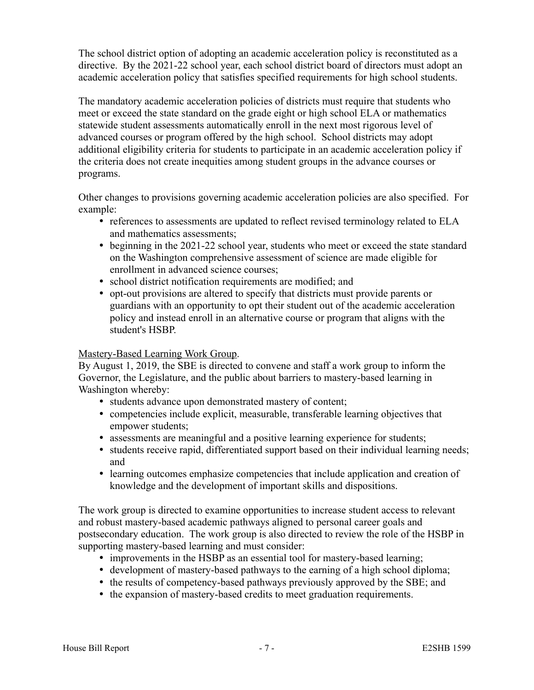The school district option of adopting an academic acceleration policy is reconstituted as a directive. By the 2021-22 school year, each school district board of directors must adopt an academic acceleration policy that satisfies specified requirements for high school students.

The mandatory academic acceleration policies of districts must require that students who meet or exceed the state standard on the grade eight or high school ELA or mathematics statewide student assessments automatically enroll in the next most rigorous level of advanced courses or program offered by the high school. School districts may adopt additional eligibility criteria for students to participate in an academic acceleration policy if the criteria does not create inequities among student groups in the advance courses or programs.

Other changes to provisions governing academic acceleration policies are also specified. For example:

- references to assessments are updated to reflect revised terminology related to ELA and mathematics assessments;
- beginning in the 2021-22 school year, students who meet or exceed the state standard on the Washington comprehensive assessment of science are made eligible for enrollment in advanced science courses;
- school district notification requirements are modified; and
- opt-out provisions are altered to specify that districts must provide parents or guardians with an opportunity to opt their student out of the academic acceleration policy and instead enroll in an alternative course or program that aligns with the student's HSBP.

## Mastery-Based Learning Work Group.

By August 1, 2019, the SBE is directed to convene and staff a work group to inform the Governor, the Legislature, and the public about barriers to mastery-based learning in Washington whereby:

- students advance upon demonstrated mastery of content;
- competencies include explicit, measurable, transferable learning objectives that empower students;
- assessments are meaningful and a positive learning experience for students;
- students receive rapid, differentiated support based on their individual learning needs; and
- learning outcomes emphasize competencies that include application and creation of knowledge and the development of important skills and dispositions.

The work group is directed to examine opportunities to increase student access to relevant and robust mastery-based academic pathways aligned to personal career goals and postsecondary education. The work group is also directed to review the role of the HSBP in supporting mastery-based learning and must consider:

- improvements in the HSBP as an essential tool for mastery-based learning;
- development of mastery-based pathways to the earning of a high school diploma;
- the results of competency-based pathways previously approved by the SBE; and
- the expansion of mastery-based credits to meet graduation requirements.